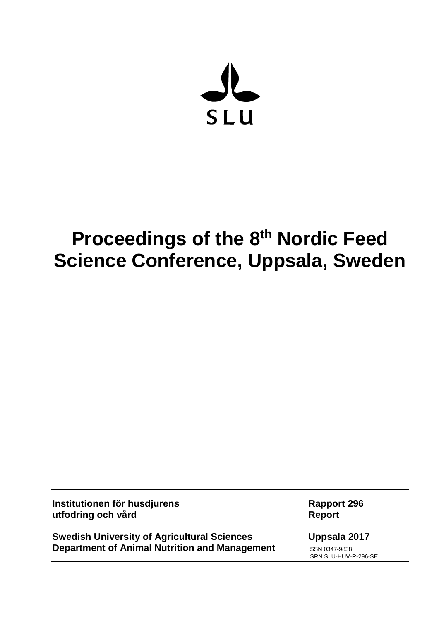

# **Proceedings of the 8<sup>th</sup> Nordic Feed Science Conference, Uppsala, Sweden**

**Institutionen för husdjurens Rapport 296 utfodring och vård Report**

**Swedish University of Agricultural Sciences Uppsala 2017 Department of Animal Nutrition and Management ISSN 0347-9838** 

ISRN SLU-HUV-R-296-SE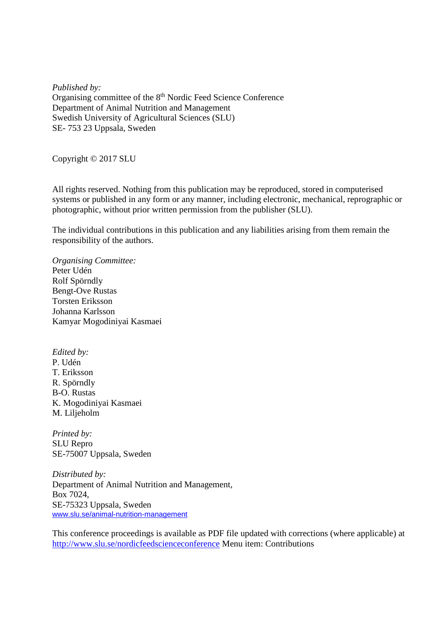*Published by:* Organising committee of the 8<sup>th</sup> Nordic Feed Science Conference Department of Animal Nutrition and Management Swedish University of Agricultural Sciences (SLU) SE- 753 23 Uppsala, Sweden

Copyright © 2017 SLU

All rights reserved. Nothing from this publication may be reproduced, stored in computerised systems or published in any form or any manner, including electronic, mechanical, reprographic or photographic, without prior written permission from the publisher (SLU).

The individual contributions in this publication and any liabilities arising from them remain the responsibility of the authors.

*Organising Committee:* Peter Udén Rolf Spörndly Bengt-Ove Rustas Torsten Eriksson Johanna Karlsson Kamyar Mogodiniyai Kasmaei

*Edited by:* P. Udén

T. Eriksson R. Spörndly B-O. Rustas K. Mogodiniyai Kasmaei M. Liljeholm

*Printed by:* SLU Repro SE-75007 Uppsala, Sweden

*Distributed by:* Department of Animal Nutrition and Management, Box 7024, SE-75323 Uppsala, Sweden [www.slu.se/animal-nutrition-management](http://www.slu.se/animal-nutrition-management)

This conference proceedings is available as PDF file updated with corrections (where applicable) at <http://www.slu.se/nordicfeedscienceconference> Menu item: Contributions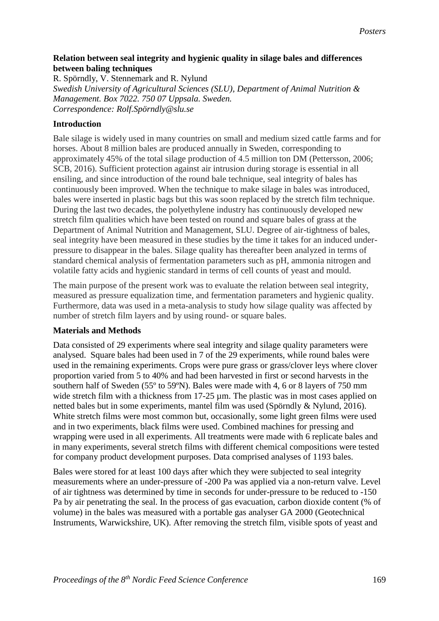## **Relation between seal integrity and hygienic quality in silage bales and differences between baling techniques**

R. Spörndly, V. Stennemark and R. Nylund *Swedish University of Agricultural Sciences (SLU), Department of Animal Nutrition & Management. Box 7022. 750 07 Uppsala. Sweden. Correspondence: Rolf.Spörndly@slu.se*

## **Introduction**

Bale silage is widely used in many countries on small and medium sized cattle farms and for horses. About 8 million bales are produced annually in Sweden, corresponding to approximately 45% of the total silage production of 4.5 million ton DM (Pettersson, 2006; SCB, 2016). Sufficient protection against air intrusion during storage is essential in all ensiling, and since introduction of the round bale technique, seal integrity of bales has continuously been improved. When the technique to make silage in bales was introduced, bales were inserted in plastic bags but this was soon replaced by the stretch film technique. During the last two decades, the polyethylene industry has continuously developed new stretch film qualities which have been tested on round and square bales of grass at the Department of Animal Nutrition and Management, SLU. Degree of air-tightness of bales, seal integrity have been measured in these studies by the time it takes for an induced underpressure to disappear in the bales. Silage quality has thereafter been analyzed in terms of standard chemical analysis of fermentation parameters such as pH, ammonia nitrogen and volatile fatty acids and hygienic standard in terms of cell counts of yeast and mould.

The main purpose of the present work was to evaluate the relation between seal integrity, measured as pressure equalization time, and fermentation parameters and hygienic quality. Furthermore, data was used in a meta-analysis to study how silage quality was affected by number of stretch film layers and by using round- or square bales.

## **Materials and Methods**

Data consisted of 29 experiments where seal integrity and silage quality parameters were analysed. Square bales had been used in 7 of the 29 experiments, while round bales were used in the remaining experiments. Crops were pure grass or grass/clover leys where clover proportion varied from 5 to 40% and had been harvested in first or second harvests in the southern half of Sweden (55º to 59ºN). Bales were made with 4, 6 or 8 layers of 750 mm wide stretch film with a thickness from 17-25  $\mu$ m. The plastic was in most cases applied on netted bales but in some experiments, mantel film was used (Spörndly & Nylund, 2016). White stretch films were most common but, occasionally, some light green films were used and in two experiments, black films were used. Combined machines for pressing and wrapping were used in all experiments. All treatments were made with 6 replicate bales and in many experiments, several stretch films with different chemical compositions were tested for company product development purposes. Data comprised analyses of 1193 bales.

Bales were stored for at least 100 days after which they were subjected to seal integrity measurements where an under-pressure of -200 Pa was applied via a non-return valve. Level of air tightness was determined by time in seconds for under-pressure to be reduced to -150 Pa by air penetrating the seal. In the process of gas evacuation, carbon dioxide content (% of volume) in the bales was measured with a portable gas analyser GA 2000 (Geotechnical Instruments, Warwickshire, UK). After removing the stretch film, visible spots of yeast and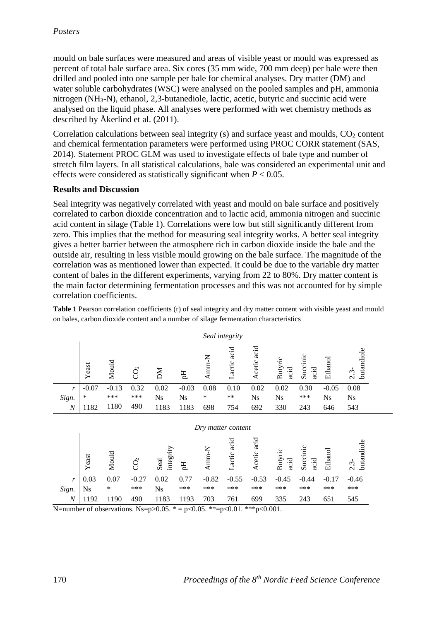mould on bale surfaces were measured and areas of visible yeast or mould was expressed as percent of total bale surface area. Six cores (35 mm wide, 700 mm deep) per bale were then drilled and pooled into one sample per bale for chemical analyses. Dry matter (DM) and water soluble carbohydrates (WSC) were analysed on the pooled samples and pH, ammonia nitrogen (NH3-N), ethanol, 2,3-butanediole, lactic, acetic, butyric and succinic acid were analysed on the liquid phase. All analyses were performed with wet chemistry methods as described by Åkerlind et al. (2011).

Correlation calculations between seal integrity  $(s)$  and surface yeast and moulds,  $CO<sub>2</sub>$  content and chemical fermentation parameters were performed using PROC CORR statement (SAS, 2014). Statement PROC GLM was used to investigate effects of bale type and number of stretch film layers. In all statistical calculations, bale was considered an experimental unit and effects were considered as statistically significant when  $P < 0.05$ .

#### **Results and Discussion**

Seal integrity was negatively correlated with yeast and mould on bale surface and positively correlated to carbon dioxide concentration and to lactic acid, ammonia nitrogen and succinic acid content in silage (Table 1). Correlations were low but still significantly different from zero. This implies that the method for measuring seal integrity works. A better seal integrity gives a better barrier between the atmosphere rich in carbon dioxide inside the bale and the outside air, resulting in less visible mould growing on the bale surface. The magnitude of the correlation was as mentioned lower than expected. It could be due to the variable dry matter content of bales in the different experiments, varying from 22 to 80%. Dry matter content is the main factor determining fermentation processes and this was not accounted for by simple correlation coefficients.

**Table 1** Pearson correlation coefficients (r) of seal integrity and dry matter content with visible yeast and mould on bales, carbon dioxide content and a number of silage fermentation characteristics

| Seal integrity     |         |         |                 |                   |           |           |                |                |                 |                  |           |                       |  |
|--------------------|---------|---------|-----------------|-------------------|-----------|-----------|----------------|----------------|-----------------|------------------|-----------|-----------------------|--|
|                    | Yeast   | Mould   | CO <sub>2</sub> | M                 | Еq        | Annn- $N$ | Lactic acid    | acid<br>Acetic | Butyrio<br>acid | Succinic<br>acid | Ethanol   | butandiole<br>$2.3 -$ |  |
| r                  | $-0.07$ | $-0.13$ | 0.32            | 0.02              | $-0.03$   | 0.08      | 0.10           | 0.02           | 0.02            | 0.30             | $-0.05$   | 0.08                  |  |
| Sign.              | *       | ***     | ***             | <b>Ns</b>         | <b>Ns</b> | *         | $***$          | <b>Ns</b>      | <b>Ns</b>       | ***              | <b>Ns</b> | <b>Ns</b>             |  |
| $\boldsymbol{N}$   | 1182    | 1180    | 490             | 1183              | 1183      | 698       | 754            | 692            | 330             | 243              | 646       | 543                   |  |
| Dry matter content |         |         |                 |                   |           |           |                |                |                 |                  |           |                       |  |
|                    | Yeast   | Mould   | $\widetilde{C}$ | integrity<br>Seal | Eq        | Amm-N     | acid<br>Lactic | acid<br>Acetic | Butyric<br>acid | Succinic<br>acid | Ethanol   | butandiole<br>$2.3 -$ |  |

|  |  |  |  | $r   0.03 0.07 -0.27 0.02 0.77 -0.82 -0.55 -0.53 -0.45 -0.44 -0.17$ |  |
|--|--|--|--|---------------------------------------------------------------------|--|
|  |  |  |  |                                                                     |  |
|  |  |  |  | N 1192 1190 490 1183 1193 703 761 699 335 243 651                   |  |

N=number of observations. Ns=p>0.05.  $* = p < 0.05$ .  $* = p < 0.01$ .  $* * p < 0.001$ .

 $-0.46$ \*\*\* 545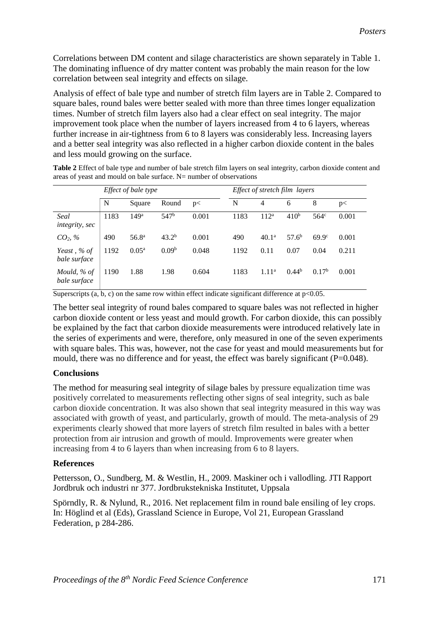Correlations between DM content and silage characteristics are shown separately in Table 1. The dominating influence of dry matter content was probably the main reason for the low correlation between seal integrity and effects on silage.

Analysis of effect of bale type and number of stretch film layers are in Table 2. Compared to square bales, round bales were better sealed with more than three times longer equalization times. Number of stretch film layers also had a clear effect on seal integrity. The major improvement took place when the number of layers increased from 4 to 6 layers, whereas further increase in air-tightness from 6 to 8 layers was considerably less. Increasing layers and a better seal integrity was also reflected in a higher carbon dioxide content in the bales and less mould growing on the surface.

|                             |      | <i>Effect of bale type</i> |                   |       | Effect of stretch film layers |                   |                   |                   |       |  |
|-----------------------------|------|----------------------------|-------------------|-------|-------------------------------|-------------------|-------------------|-------------------|-------|--|
|                             | N    | Square                     | Round             | p<    | N                             | 4                 | 6                 | 8                 | p<    |  |
| Seal<br>integrity, sec      | 1183 | 149 <sup>a</sup>           | 547 <sup>b</sup>  | 0.001 | 1183                          | 112 <sup>a</sup>  | 410 <sup>b</sup>  | $564^\circ$       | 0.001 |  |
| $CO_2, \%$                  | 490  | 56.8 <sup>a</sup>          | 43.2 <sup>b</sup> | 0.001 | 490                           | 40.1 <sup>a</sup> | 57.6 <sup>b</sup> | 69.9 <sup>c</sup> | 0.001 |  |
| Yeast, % of<br>bale surface | 1192 | $0.05^{\rm a}$             | 0.09 <sup>b</sup> | 0.048 | 1192                          | 0.11              | 0.07              | 0.04              | 0.211 |  |
| Mould, % of<br>bale surface | 1190 | 1.88                       | 1.98              | 0.604 | 1183                          | 1.11 <sup>a</sup> | $0.44^{b}$        | 0.17 <sup>b</sup> | 0.001 |  |

**Table 2** Effect of bale type and number of bale stretch film layers on seal integrity, carbon dioxide content and areas of yeast and mould on bale surface. N= number of observations

Superscripts  $(a, b, c)$  on the same row within effect indicate significant difference at p<0.05.

The better seal integrity of round bales compared to square bales was not reflected in higher carbon dioxide content or less yeast and mould growth. For carbon dioxide, this can possibly be explained by the fact that carbon dioxide measurements were introduced relatively late in the series of experiments and were, therefore, only measured in one of the seven experiments with square bales. This was, however, not the case for yeast and mould measurements but for mould, there was no difference and for yeast, the effect was barely significant (P=0.048).

## **Conclusions**

The method for measuring seal integrity of silage bales by pressure equalization time was positively correlated to measurements reflecting other signs of seal integrity, such as bale carbon dioxide concentration. It was also shown that seal integrity measured in this way was associated with growth of yeast, and particularly, growth of mould. The meta-analysis of 29 experiments clearly showed that more layers of stretch film resulted in bales with a better protection from air intrusion and growth of mould. Improvements were greater when increasing from 4 to 6 layers than when increasing from 6 to 8 layers.

## **References**

Pettersson, O., Sundberg, M. & Westlin, H., 2009. Maskiner och i vallodling. JTI Rapport Jordbruk och industri nr 377. Jordbrukstekniska Institutet, Uppsala

Spörndly, R. & Nylund, R., 2016. Net replacement film in round bale ensiling of ley crops. In: Höglind et al (Eds), Grassland Science in Europe, Vol 21, European Grassland Federation, p 284-286.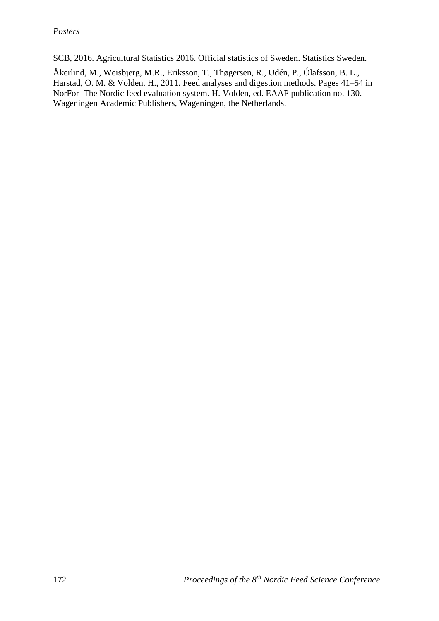SCB, 2016. Agricultural Statistics 2016. Official statistics of Sweden. Statistics Sweden.

Åkerlind, M., Weisbjerg, M.R., Eriksson, T., Thøgersen, R., Udén, P., Ólafsson, B. L., Harstad, O. M. & Volden. H., 2011. Feed analyses and digestion methods. Pages 41–54 in NorFor–The Nordic feed evaluation system. H. Volden, ed. EAAP publication no. 130. Wageningen Academic Publishers, Wageningen, the Netherlands.